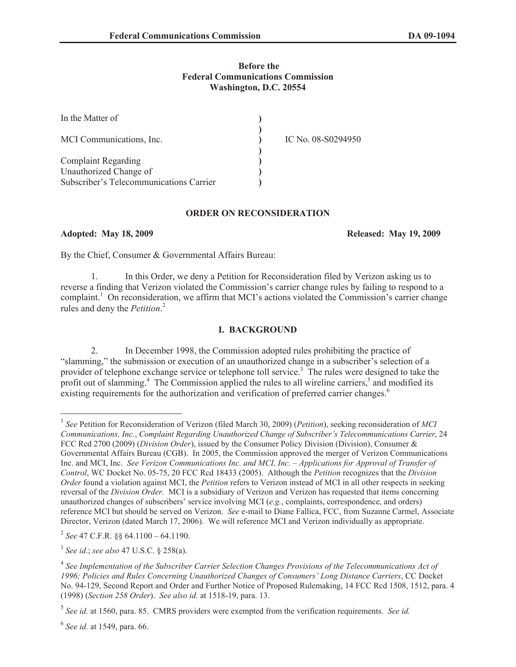### **Before the Federal Communications Commission Washington, D.C. 20554**

| In the Matter of                        |                    |
|-----------------------------------------|--------------------|
| MCI Communications, Inc.                | IC No. 08-S0294950 |
| <b>Complaint Regarding</b>              |                    |
| Unauthorized Change of                  |                    |
| Subscriber's Telecommunications Carrier |                    |

#### **ORDER ON RECONSIDERATION**

**Adopted: May 18, 2009 Released: May 19, 2009**

By the Chief, Consumer & Governmental Affairs Bureau:

1. In this Order, we deny a Petition for Reconsideration filed by Verizon asking us to reverse a finding that Verizon violated the Commission's carrier change rules by failing to respond to a complaint.<sup>1</sup> On reconsideration, we affirm that MCI's actions violated the Commission's carrier change rules and deny the *Petition*. 2

# **I. BACKGROUND**

2. In December 1998, the Commission adopted rules prohibiting the practice of "slamming," the submission or execution of an unauthorized change in a subscriber's selection of a provider of telephone exchange service or telephone toll service.<sup>3</sup> The rules were designed to take the profit out of slamming.<sup>4</sup> The Commission applied the rules to all wireline carriers,<sup>5</sup> and modified its existing requirements for the authorization and verification of preferred carrier changes.<sup>6</sup>

2 *See* 47 C.F.R. §§ 64.1100 – 64.1190.

3 *See id*.; *see also* 47 U.S.C. § 258(a).

<sup>1</sup> *See* Petition for Reconsideration of Verizon (filed March 30, 2009) (*Petition*), seeking reconsideration of *MCI Communications, Inc.*, *Complaint Regarding Unauthorized Change of Subscriber's Telecommunications Carrier*, 24 FCC Rcd 2700 (2009) (*Division Order*), issued by the Consumer Policy Division (Division), Consumer & Governmental Affairs Bureau (CGB). In 2005, the Commission approved the merger of Verizon Communications Inc. and MCI, Inc. *See Verizon Communications Inc. and MCI, Inc. – Applications for Approval of Transfer of Control*, WC Docket No. 05-75, 20 FCC Rcd 18433 (2005). Although the *Petition* recognizes that the *Division Order* found a violation against MCI, the *Petition* refers to Verizon instead of MCI in all other respects in seeking reversal of the *Division Order.* MCI is a subsidiary of Verizon and Verizon has requested that items concerning unauthorized changes of subscribers' service involving MCI (*e.g.*, complaints, correspondence, and orders) reference MCI but should be served on Verizon. *See* e-mail to Diane Fallica, FCC, from Suzanne Carmel, Associate Director, Verizon (dated March 17, 2006). We will reference MCI and Verizon individually as appropriate.

<sup>&</sup>lt;sup>4</sup> See Implementation of the Subscriber Carrier Selection Changes Provisions of the Telecommunications Act of *1996; Policies and Rules Concerning Unauthorized Changes of Consumers' Long Distance Carriers*, CC Docket No. 94-129, Second Report and Order and Further Notice of Proposed Rulemaking, 14 FCC Rcd 1508, 1512, para. 4 (1998) (*Section 258 Order*). *See also id.* at 1518-19, para. 13.

<sup>5</sup> *See id.* at 1560, para. 85. CMRS providers were exempted from the verification requirements. *See id.*

<sup>6</sup> *See id.* at 1549, para. 66.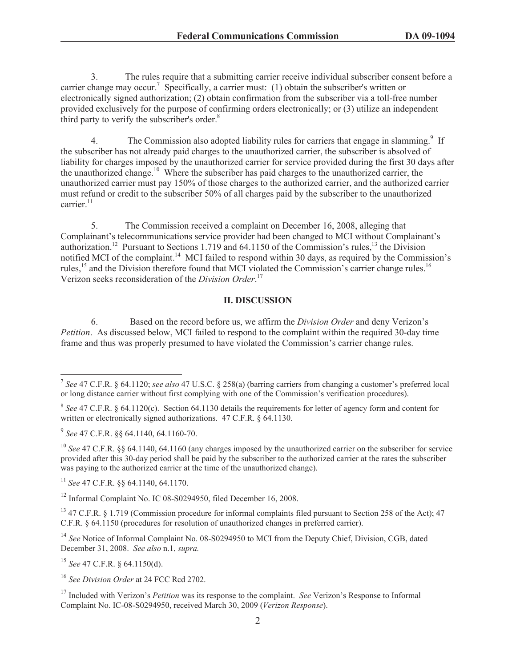3. The rules require that a submitting carrier receive individual subscriber consent before a carrier change may occur.<sup>7</sup> Specifically, a carrier must: (1) obtain the subscriber's written or electronically signed authorization; (2) obtain confirmation from the subscriber via a toll-free number provided exclusively for the purpose of confirming orders electronically; or (3) utilize an independent third party to verify the subscriber's order.<sup>8</sup>

4. The Commission also adopted liability rules for carriers that engage in slamming.<sup>9</sup> If the subscriber has not already paid charges to the unauthorized carrier, the subscriber is absolved of liability for charges imposed by the unauthorized carrier for service provided during the first 30 days after the unauthorized change.<sup>10</sup> Where the subscriber has paid charges to the unauthorized carrier, the unauthorized carrier must pay 150% of those charges to the authorized carrier, and the authorized carrier must refund or credit to the subscriber 50% of all charges paid by the subscriber to the unauthorized carrier.<sup>11</sup>

5. The Commission received a complaint on December 16, 2008, alleging that Complainant's telecommunications service provider had been changed to MCI without Complainant's authorization.<sup>12</sup> Pursuant to Sections 1.719 and 64.1150 of the Commission's rules,<sup>13</sup> the Division notified MCI of the complaint.<sup>14</sup> MCI failed to respond within 30 days, as required by the Commission's rules,<sup>15</sup> and the Division therefore found that MCI violated the Commission's carrier change rules.<sup>16</sup> Verizon seeks reconsideration of the *Division Order*. 17

# **II. DISCUSSION**

6. Based on the record before us, we affirm the *Division Order* and deny Verizon's *Petition*. As discussed below, MCI failed to respond to the complaint within the required 30-day time frame and thus was properly presumed to have violated the Commission's carrier change rules.

<sup>11</sup> *See* 47 C.F.R. §§ 64.1140, 64.1170.

<sup>12</sup> Informal Complaint No. IC 08-S0294950, filed December 16, 2008.

<sup>13</sup> 47 C.F.R. § 1.719 (Commission procedure for informal complaints filed pursuant to Section 258 of the Act); 47 C.F.R. § 64.1150 (procedures for resolution of unauthorized changes in preferred carrier).

<sup>14</sup> See Notice of Informal Complaint No. 08-S0294950 to MCI from the Deputy Chief, Division, CGB, dated December 31, 2008. *See also* n.1, *supra.*

<sup>15</sup> *See* 47 C.F.R. § 64.1150(d).

<sup>16</sup> *See Division Order* at 24 FCC Rcd 2702.

<sup>7</sup> *See* 47 C.F.R. § 64.1120; *see also* 47 U.S.C. § 258(a) (barring carriers from changing a customer's preferred local or long distance carrier without first complying with one of the Commission's verification procedures).

<sup>8</sup> *See* 47 C.F.R. § 64.1120(c). Section 64.1130 details the requirements for letter of agency form and content for written or electronically signed authorizations. 47 C.F.R. § 64.1130.

<sup>9</sup> *See* 47 C.F.R. §§ 64.1140, 64.1160-70.

<sup>&</sup>lt;sup>10</sup> *See* 47 C.F.R. §§ 64.1140, 64.1160 (any charges imposed by the unauthorized carrier on the subscriber for service provided after this 30-day period shall be paid by the subscriber to the authorized carrier at the rates the subscriber was paying to the authorized carrier at the time of the unauthorized change).

<sup>17</sup> Included with Verizon's *Petition* was its response to the complaint. *See* Verizon's Response to Informal Complaint No. IC-08-S0294950, received March 30, 2009 (*Verizon Response*).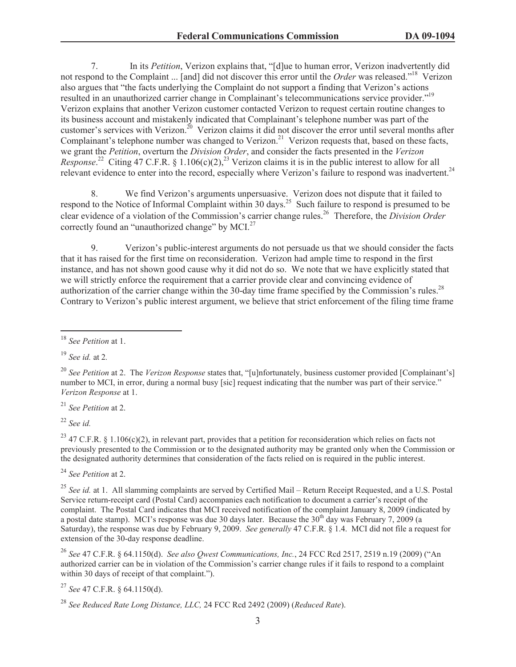7. In its *Petition*, Verizon explains that, "[d]ue to human error, Verizon inadvertently did not respond to the Complaint ... [and] did not discover this error until the *Order* was released."<sup>18</sup> Verizon also argues that "the facts underlying the Complaint do not support a finding that Verizon's actions resulted in an unauthorized carrier change in Complainant's telecommunications service provider."<sup>19</sup> Verizon explains that another Verizon customer contacted Verizon to request certain routine changes to its business account and mistakenly indicated that Complainant's telephone number was part of the customer's services with Verizon.<sup>20</sup> Verizon claims it did not discover the error until several months after Complainant's telephone number was changed to Verizon.<sup>21</sup> Verizon requests that, based on these facts, we grant the *Petition*, overturn the *Division Order*, and consider the facts presented in the *Verizon Response*.<sup>22</sup> Citing 47 C.F.R. § 1.106(c)(2),<sup>23</sup> Verizon claims it is in the public interest to allow for all relevant evidence to enter into the record, especially where Verizon's failure to respond was inadvertent.<sup>24</sup>

8. We find Verizon's arguments unpersuasive. Verizon does not dispute that it failed to respond to the Notice of Informal Complaint within 30 days.<sup>25</sup> Such failure to respond is presumed to be clear evidence of a violation of the Commission's carrier change rules. <sup>26</sup> Therefore, the *Division Order* correctly found an "unauthorized change" by MCI.<sup>27</sup>

9. Verizon's public-interest arguments do not persuade us that we should consider the facts that it has raised for the first time on reconsideration. Verizon had ample time to respond in the first instance, and has not shown good cause why it did not do so. We note that we have explicitly stated that we will strictly enforce the requirement that a carrier provide clear and convincing evidence of authorization of the carrier change within the 30-day time frame specified by the Commission's rules.<sup>28</sup> Contrary to Verizon's public interest argument, we believe that strict enforcement of the filing time frame

<sup>19</sup> *See id.* at 2*.*

<sup>21</sup> *See Petition* at 2.

<sup>22</sup> *See id.*

<sup>23</sup> 47 C.F.R. § 1.106(c)(2), in relevant part, provides that a petition for reconsideration which relies on facts not previously presented to the Commission or to the designated authority may be granted only when the Commission or the designated authority determines that consideration of the facts relied on is required in the public interest.

<sup>24</sup> *See Petition* at 2.

<sup>25</sup> See id. at 1. All slamming complaints are served by Certified Mail – Return Receipt Requested, and a U.S. Postal Service return-receipt card (Postal Card) accompanies each notification to document a carrier's receipt of the complaint. The Postal Card indicates that MCI received notification of the complaint January 8, 2009 (indicated by a postal date stamp). MCI's response was due 30 days later. Because the 30<sup>th</sup> day was February 7, 2009 (a Saturday), the response was due by February 9, 2009. *See generally* 47 C.F.R. § 1.4. MCI did not file a request for extension of the 30-day response deadline.

<sup>26</sup> *See* 47 C.F.R. § 64.1150(d). *See also Qwest Communications, Inc.*, 24 FCC Rcd 2517, 2519 n.19 (2009) ("An authorized carrier can be in violation of the Commission's carrier change rules if it fails to respond to a complaint within 30 days of receipt of that complaint.").

<sup>27</sup> *See* 47 C.F.R. § 64.1150(d).

<sup>18</sup> *See Petition* at 1.

<sup>&</sup>lt;sup>20</sup> *See Petition* at 2. The *Verizon Response* states that, "[u]nfortunately, business customer provided [Complainant's] number to MCI, in error, during a normal busy [sic] request indicating that the number was part of their service." *Verizon Response* at 1.

<sup>28</sup> *See Reduced Rate Long Distance, LLC,* 24 FCC Rcd 2492 (2009) (*Reduced Rate*).